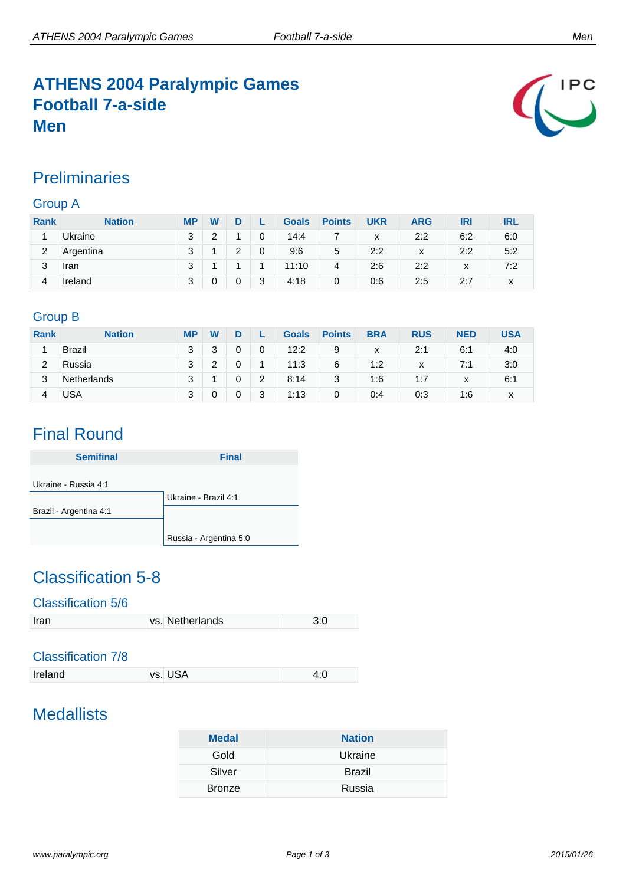# **ATHENS 2004 Paralympic Games Football 7-a-side Men**



### **Preliminaries**

### Group A

| <b>Rank</b> | <b>Nation</b> | <b>MP</b> | W |   |   | <b>Goals</b> | <b>Points</b> | <b>UKR</b> | <b>ARG</b> | IRI          | IRL |
|-------------|---------------|-----------|---|---|---|--------------|---------------|------------|------------|--------------|-----|
|             | Ukraine       | 3         | ◠ |   | 0 | 14:4         |               | x          | 2:2        | 6:2          | 6:0 |
| 2           | Argentina     | 3         |   | っ | 0 | 9:6          | 5             | 2:2        | X          | 2:2          | 5:2 |
| 3           | Iran          | 3         |   |   |   | 11:10        | 4             | 2:6        | 2:2        | $\checkmark$ | 7:2 |
| 4           | Ireland       | 3         |   | 0 | 3 | 4:18         | 0             | 0:6        | 2:5        | 2:7          | x   |

### Group B

| <b>Rank</b> | <b>Nation</b> | <b>MP</b> | W |   | <b>Goals</b> | <b>Points</b> | <b>BRA</b> | <b>RUS</b> | <b>NED</b>   | USA |
|-------------|---------------|-----------|---|---|--------------|---------------|------------|------------|--------------|-----|
|             | <b>Brazil</b> | 3         | 2 | 0 | 12:2         | 9             | x          | 2:1        | 6:1          | 4:0 |
| 2           | Russia        | 3         |   | ٠ | 11:3         | 6             | 1:2        | x          | 7:1          | 3:0 |
| 3           | Netherlands   | 3         |   | 2 | 8:14         | 3             | 1:6        | 1:7        | $\mathbf{v}$ | 6:1 |
|             | USA           | 3         |   | 3 | 1:13         | 0             | 0:4        | 0:3        | 1:6          | x   |

# Final Round

| <b>Semifinal</b>       | <b>Final</b>           |
|------------------------|------------------------|
| Ukraine - Russia 4:1   |                        |
|                        | Ukraine - Brazil 4:1   |
| Brazil - Argentina 4:1 |                        |
|                        |                        |
|                        | Russia - Argentina 5:0 |

# Classification 5-8

#### Classification 5/6

| vs. Netherlands |  |
|-----------------|--|

### Classification 7/8

| vs. USA<br>Ireland |  |
|--------------------|--|
|--------------------|--|

# **Medallists**

| <b>Medal</b>  | <b>Nation</b> |
|---------------|---------------|
| Gold          | Ukraine       |
| Silver        | <b>Brazil</b> |
| <b>Bronze</b> | Russia        |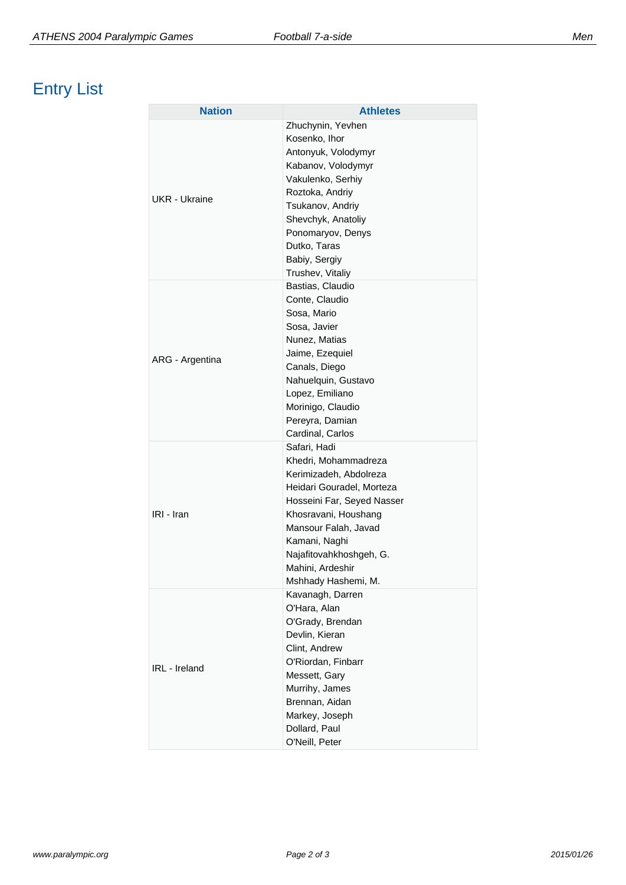# Entry List

| <b>Nation</b>   | <b>Athletes</b>                                                                                                                                                                                                                                                   |
|-----------------|-------------------------------------------------------------------------------------------------------------------------------------------------------------------------------------------------------------------------------------------------------------------|
| UKR - Ukraine   | Zhuchynin, Yevhen<br>Kosenko, Ihor<br>Antonyuk, Volodymyr<br>Kabanov, Volodymyr<br>Vakulenko, Serhiy<br>Roztoka, Andriy<br>Tsukanov, Andriy<br>Shevchyk, Anatoliy<br>Ponomaryov, Denys<br>Dutko, Taras                                                            |
| ARG - Argentina | Babiy, Sergiy<br>Trushev, Vitaliy<br>Bastias, Claudio<br>Conte, Claudio<br>Sosa, Mario<br>Sosa, Javier<br>Nunez, Matias<br>Jaime, Ezequiel<br>Canals, Diego<br>Nahuelquin, Gustavo<br>Lopez, Emiliano<br>Morinigo, Claudio<br>Pereyra, Damian<br>Cardinal, Carlos |
| IRI - Iran      | Safari, Hadi<br>Khedri, Mohammadreza<br>Kerimizadeh, Abdolreza<br>Heidari Gouradel, Morteza<br>Hosseini Far, Seyed Nasser<br>Khosravani, Houshang<br>Mansour Falah, Javad<br>Kamani, Naghi<br>Najafitovahkhoshgeh, G.<br>Mahini, Ardeshir<br>Mshhady Hashemi, M.  |
| IRL - Ireland   | Kavanagh, Darren<br>O'Hara, Alan<br>O'Grady, Brendan<br>Devlin, Kieran<br>Clint, Andrew<br>O'Riordan, Finbarr<br>Messett, Gary<br>Murrihy, James<br>Brennan, Aidan<br>Markey, Joseph<br>Dollard, Paul<br>O'Neill, Peter                                           |